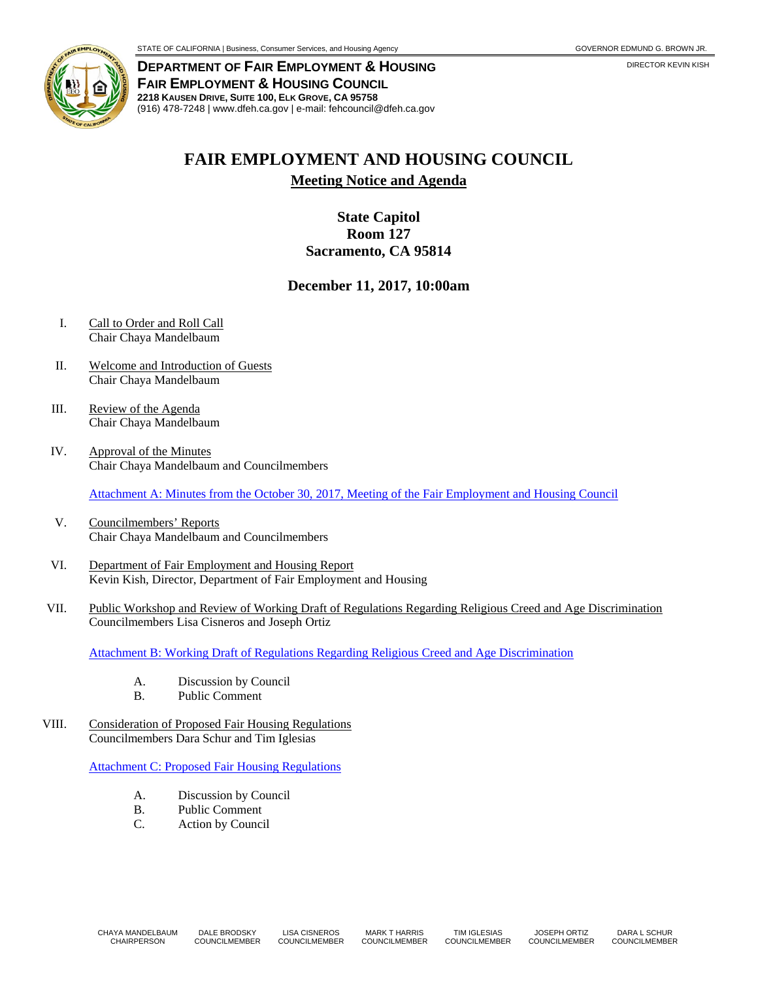

**DEPARTMENT OF FAIR EMPLOYMENT & HOUSING** DIRECTOR KEVIN KISH **FAIR EMPLOYMENT & HOUSING COUNCIL 2218 KAUSEN DRIVE, SUITE 100, ELK GROVE, CA 95758** (916) 478-7248 | www.dfeh.ca.gov | e-mail: fehcouncil@dfeh.ca.gov

## **FAIR EMPLOYMENT AND HOUSING COUNCIL**

**Meeting Notice and Agenda**

## **State Capitol Room 127 Sacramento, CA 95814**

## **December 11, 2017, 10:00am**

- I. Call to Order and Roll Call Chair Chaya Mandelbaum
- II. Welcome and Introduction of Guests Chair Chaya Mandelbaum
- III. Review of the Agenda Chair Chaya Mandelbaum
- IV. Approval of the Minutes Chair Chaya Mandelbaum and Councilmembers

Attachment A: Minutes from the October 30, 2017, [Meeting of the Fair Employment and Housing Council](https://www.dfeh.ca.gov/wp-content/uploads/sites/32/2017/12/AttachA-FEHCMinutes-2017Oct30.pdf)

- V. Councilmembers' Reports Chair Chaya Mandelbaum and Councilmembers
- VI. Department of Fair Employment and Housing Report Kevin Kish, Director, Department of Fair Employment and Housing
- VII. Public Workshop and Review of Working Draft of Regulations Regarding Religious Creed and Age Discrimination Councilmembers Lisa Cisneros and Joseph Ortiz

[Attachment B: Working Draft of Regulations Regarding Religious Creed and Age Discrimination](https://www.dfeh.ca.gov/wp-content/uploads/sites/32/2017/12/AttachB-RegReligiousCreed-AgeDiscrimination.pdf)

- A. Discussion by Council<br>B. Public Comment
- Public Comment
- VIII. Consideration of Proposed Fair Housing Regulations Councilmembers Dara Schur and Tim Iglesias

[Attachment C: Proposed Fair Housing Regulations](https://www.dfeh.ca.gov/wp-content/uploads/sites/32/2017/12/AttachC-FairHousingRegulations.pdf)

- A. Discussion by Council
- B. Public Comment<br>C. Action by Council
- **Action by Council**